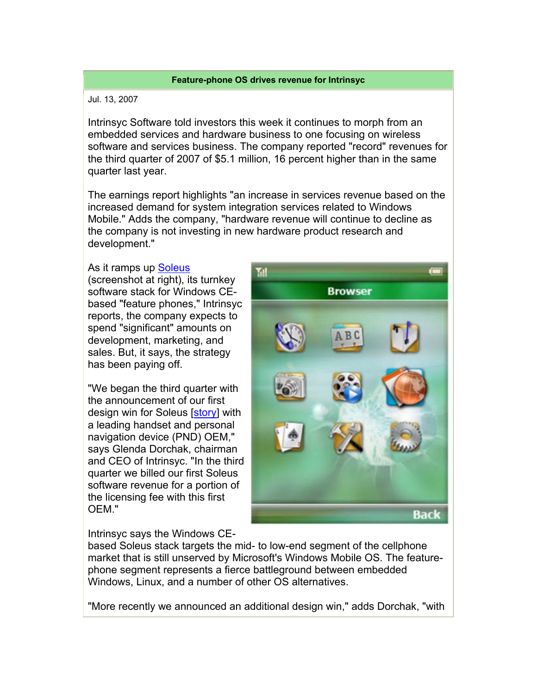## **Feature-phone OS drives revenue for Intrinsyc**

## Jul. 13, 2007

Intrinsyc Software told investors this week it continues to morph from an embedded services and hardware business to one focusing on wireless software and services business. The company reported "record" revenues for the third quarter of 2007 of \$5.1 million, 16 percent higher than in the same quarter last year.

The earnings report highlights "an increase in services revenue based on the increased demand for system integration services related to Windows Mobile." Adds the company, "hardware revenue will continue to decline as the company is not investing in new hardware product research and development."

## As it ramps up Soleus

(screenshot at right), its turnkey software stack for Windows CEbased "feature phones," Intrinsyc reports, the company expects to spend "significant" amounts on development, marketing, and sales. But, it says, the strategy has been paying off.

"We began the third quarter with the announcement of our first design win for Soleus [story] with a leading handset and personal navigation device (PND) OEM," says Glenda Dorchak, chairman and CEO of Intrinsyc. "In the third quarter we billed our first Soleus software revenue for a portion of the licensing fee with this first OEM."



Intrinsyc says the Windows CE-

based Soleus stack targets the mid- to low-end segment of the cellphone market that is still unserved by Microsoft's Windows Mobile OS. The featurephone segment represents a fierce battleground between embedded Windows, Linux, and a number of other OS alternatives.

"More recently we announced an additional design win," adds Dorchak, "with